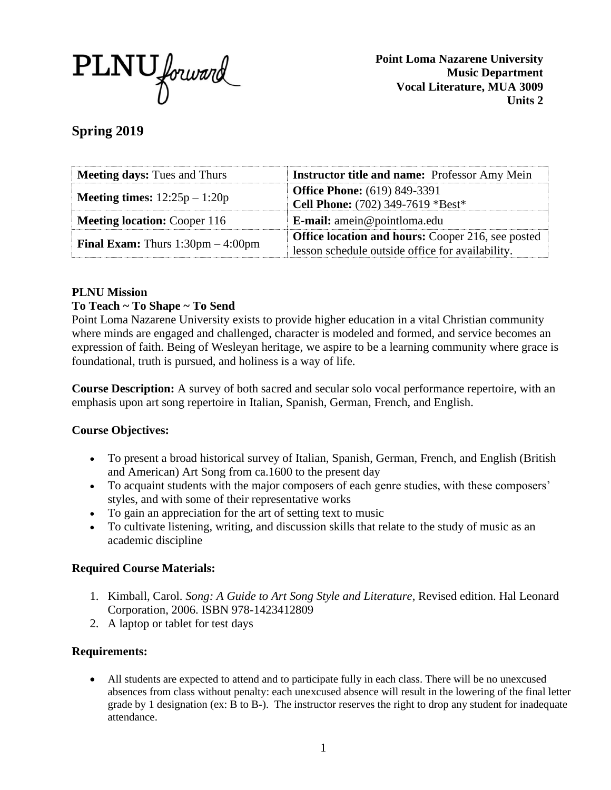

**Point Loma Nazarene University Music Department Vocal Literature, MUA 3009 Units 2**

**Spring 2019**

| <b>Meeting days:</b> Tues and Thurs                        | <b>Instructor title and name:</b> Professor Amy Mein |  |  |  |  |
|------------------------------------------------------------|------------------------------------------------------|--|--|--|--|
|                                                            | <b>Office Phone:</b> (619) 849-3391                  |  |  |  |  |
| <b>Meeting times:</b> $12:25p - 1:20p$                     | Cell Phone: (702) 349-7619 *Best*                    |  |  |  |  |
| <b>Meeting location: Cooper 116</b>                        | <b>E-mail:</b> amein@pointloma.edu                   |  |  |  |  |
|                                                            | Office location and hours: Cooper 216, see posted    |  |  |  |  |
| <b>Final Exam:</b> Thurs $1:30 \text{pm} - 4:00 \text{pm}$ | lesson schedule outside office for availability.     |  |  |  |  |

# **PLNU Mission**

# **To Teach ~ To Shape ~ To Send**

Point Loma Nazarene University exists to provide higher education in a vital Christian community where minds are engaged and challenged, character is modeled and formed, and service becomes an expression of faith. Being of Wesleyan heritage, we aspire to be a learning community where grace is foundational, truth is pursued, and holiness is a way of life.

**Course Description:** A survey of both sacred and secular solo vocal performance repertoire, with an emphasis upon art song repertoire in Italian, Spanish, German, French, and English.

# **Course Objectives:**

- To present a broad historical survey of Italian, Spanish, German, French, and English (British and American) Art Song from ca.1600 to the present day
- To acquaint students with the major composers of each genre studies, with these composers' styles, and with some of their representative works
- To gain an appreciation for the art of setting text to music
- To cultivate listening, writing, and discussion skills that relate to the study of music as an academic discipline

# **Required Course Materials:**

- 1. Kimball, Carol. *Song: A Guide to Art Song Style and Literature*, Revised edition. Hal Leonard Corporation, 2006. ISBN 978-1423412809
- 2. A laptop or tablet for test days

# **Requirements:**

• All students are expected to attend and to participate fully in each class. There will be no unexcused absences from class without penalty: each unexcused absence will result in the lowering of the final letter grade by 1 designation (ex: B to B-). The instructor reserves the right to drop any student for inadequate attendance.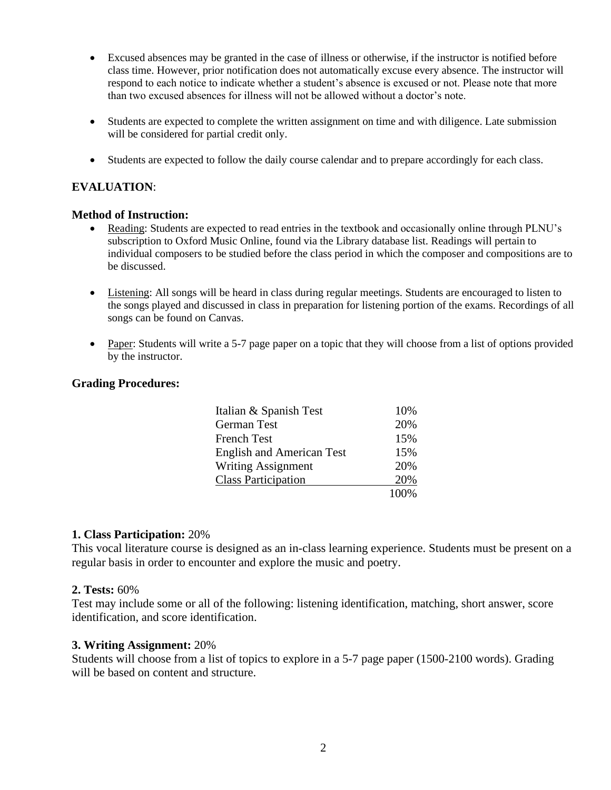- Excused absences may be granted in the case of illness or otherwise, if the instructor is notified before class time. However, prior notification does not automatically excuse every absence. The instructor will respond to each notice to indicate whether a student's absence is excused or not. Please note that more than two excused absences for illness will not be allowed without a doctor's note.
- Students are expected to complete the written assignment on time and with diligence. Late submission will be considered for partial credit only.
- Students are expected to follow the daily course calendar and to prepare accordingly for each class.

### **EVALUATION**:

#### **Method of Instruction:**

- Reading: Students are expected to read entries in the textbook and occasionally online through PLNU's subscription to Oxford Music Online, found via the Library database list. Readings will pertain to individual composers to be studied before the class period in which the composer and compositions are to be discussed.
- Listening: All songs will be heard in class during regular meetings. Students are encouraged to listen to the songs played and discussed in class in preparation for listening portion of the exams. Recordings of all songs can be found on Canvas.
- Paper: Students will write a 5-7 page paper on a topic that they will choose from a list of options provided by the instructor.

#### **Grading Procedures:**

| Italian & Spanish Test           | 10%  |
|----------------------------------|------|
| <b>German Test</b>               | 20%  |
| <b>French Test</b>               | 15%  |
| <b>English and American Test</b> | 15%  |
| <b>Writing Assignment</b>        | 20%  |
| <b>Class Participation</b>       | 20%  |
|                                  | 100% |

### **1. Class Participation:** 20%

This vocal literature course is designed as an in-class learning experience. Students must be present on a regular basis in order to encounter and explore the music and poetry.

#### **2. Tests:** 60%

Test may include some or all of the following: listening identification, matching, short answer, score identification, and score identification.

### **3. Writing Assignment:** 20%

Students will choose from a list of topics to explore in a 5-7 page paper (1500-2100 words). Grading will be based on content and structure.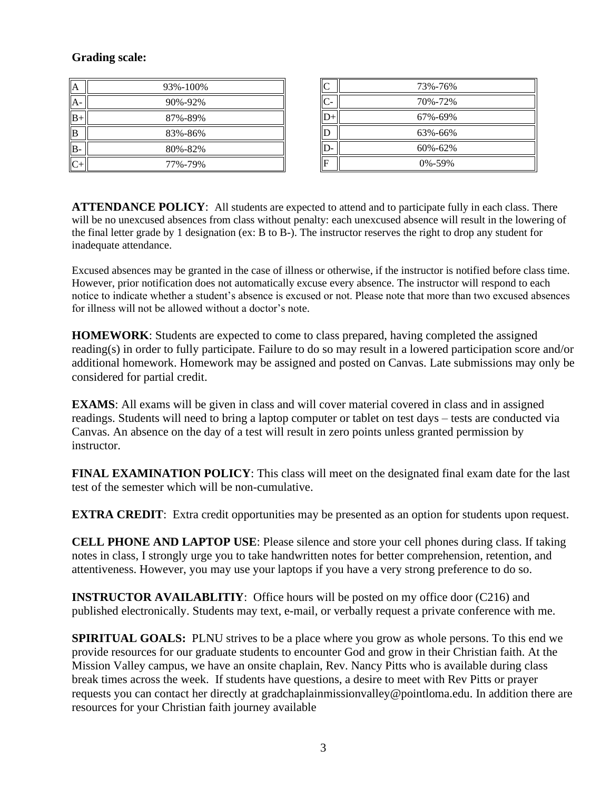# **Grading scale:**

| ۱A           | 93%-100% |
|--------------|----------|
|              | 90%-92%  |
| 'IB          | 87%-89%  |
| <b>B</b>     | 83%-86%  |
| <sup>B</sup> | 80%-82%  |
|              | 77%-79%  |

| C            | 73%-76%      |
|--------------|--------------|
| $\mathsf{C}$ | 70%-72%      |
|              | 67%-69%      |
|              | 63%-66%      |
|              | 60%-62%      |
| F            | $0\% - 59\%$ |

**ATTENDANCE POLICY:** All students are expected to attend and to participate fully in each class. There will be no unexcused absences from class without penalty: each unexcused absence will result in the lowering of the final letter grade by 1 designation (ex: B to B-). The instructor reserves the right to drop any student for inadequate attendance.

Excused absences may be granted in the case of illness or otherwise, if the instructor is notified before class time. However, prior notification does not automatically excuse every absence. The instructor will respond to each notice to indicate whether a student's absence is excused or not. Please note that more than two excused absences for illness will not be allowed without a doctor's note.

**HOMEWORK**: Students are expected to come to class prepared, having completed the assigned reading(s) in order to fully participate. Failure to do so may result in a lowered participation score and/or additional homework. Homework may be assigned and posted on Canvas. Late submissions may only be considered for partial credit.

**EXAMS**: All exams will be given in class and will cover material covered in class and in assigned readings. Students will need to bring a laptop computer or tablet on test days – tests are conducted via Canvas. An absence on the day of a test will result in zero points unless granted permission by instructor.

**FINAL EXAMINATION POLICY**: This class will meet on the designated final exam date for the last test of the semester which will be non-cumulative.

**EXTRA CREDIT:** Extra credit opportunities may be presented as an option for students upon request.

**CELL PHONE AND LAPTOP USE**: Please silence and store your cell phones during class. If taking notes in class, I strongly urge you to take handwritten notes for better comprehension, retention, and attentiveness. However, you may use your laptops if you have a very strong preference to do so.

**INSTRUCTOR AVAILABLITIY:** Office hours will be posted on my office door (C216) and published electronically. Students may text, e-mail, or verbally request a private conference with me.

**SPIRITUAL GOALS:** PLNU strives to be a place where you grow as whole persons. To this end we provide resources for our graduate students to encounter God and grow in their Christian faith. At the Mission Valley campus, we have an onsite chaplain, Rev. Nancy Pitts who is available during class break times across the week. If students have questions, a desire to meet with Rev Pitts or prayer requests you can contact her directly at gradchaplainmissionvalley@pointloma.edu. In addition there are resources for your Christian faith journey available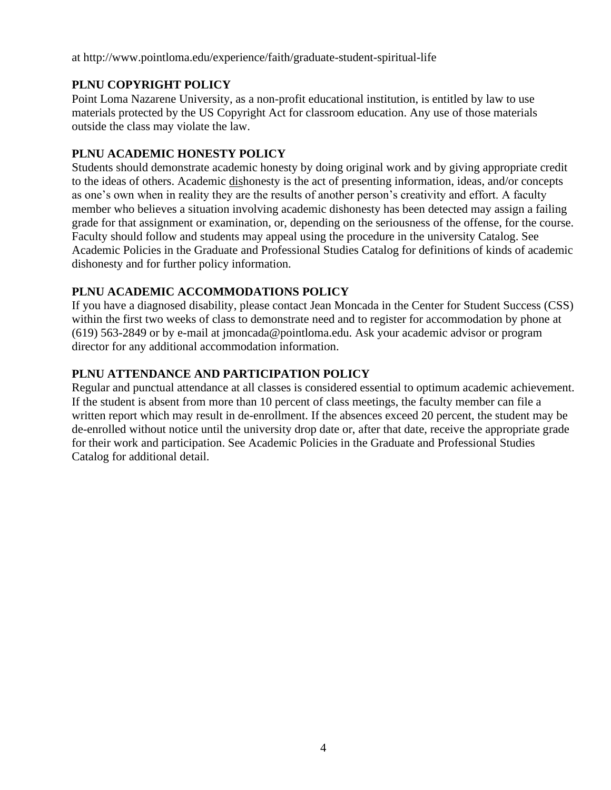at http://www.pointloma.edu/experience/faith/graduate-student-spiritual-life

# **PLNU COPYRIGHT POLICY**

Point Loma Nazarene University, as a non-profit educational institution, is entitled by law to use materials protected by the US Copyright Act for classroom education. Any use of those materials outside the class may violate the law.

# **PLNU ACADEMIC HONESTY POLICY**

Students should demonstrate academic honesty by doing original work and by giving appropriate credit to the ideas of others. Academic dishonesty is the act of presenting information, ideas, and/or concepts as one's own when in reality they are the results of another person's creativity and effort. A faculty member who believes a situation involving academic dishonesty has been detected may assign a failing grade for that assignment or examination, or, depending on the seriousness of the offense, for the course. Faculty should follow and students may appeal using the procedure in the university Catalog. See Academic Policies in the Graduate and Professional Studies Catalog for definitions of kinds of academic dishonesty and for further policy information.

# **PLNU ACADEMIC ACCOMMODATIONS POLICY**

If you have a diagnosed disability, please contact Jean Moncada in the Center for Student Success (CSS) within the first two weeks of class to demonstrate need and to register for accommodation by phone at (619) 563-2849 or by e-mail at jmoncada@pointloma.edu. Ask your academic advisor or program director for any additional accommodation information.

# **PLNU ATTENDANCE AND PARTICIPATION POLICY**

Regular and punctual attendance at all classes is considered essential to optimum academic achievement. If the student is absent from more than 10 percent of class meetings, the faculty member can file a written report which may result in de-enrollment. If the absences exceed 20 percent, the student may be de-enrolled without notice until the university drop date or, after that date, receive the appropriate grade for their work and participation. See Academic Policies in the Graduate and Professional Studies Catalog for additional detail.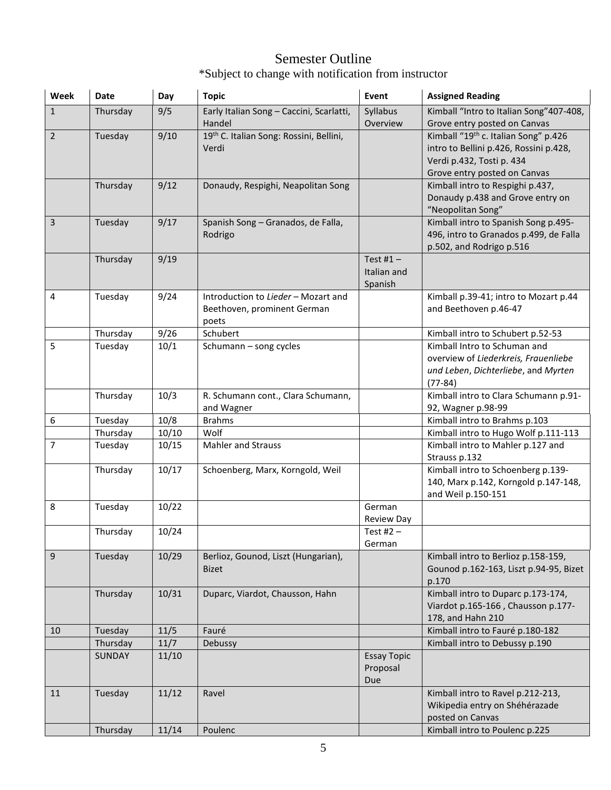# Semester Outline \*Subject to change with notification from instructor

| Week           | <b>Date</b>         | Day   | <b>Topic</b>                                      | Event                          | <b>Assigned Reading</b>                                                          |
|----------------|---------------------|-------|---------------------------------------------------|--------------------------------|----------------------------------------------------------------------------------|
| $\mathbf{1}$   | Thursday            | 9/5   | Early Italian Song - Caccini, Scarlatti,          | Syllabus                       | Kimball "Intro to Italian Song" 407-408,                                         |
| $\overline{2}$ | Tuesday             | 9/10  | Handel<br>19th C. Italian Song: Rossini, Bellini, | Overview                       | Grove entry posted on Canvas<br>Kimball "19 <sup>th</sup> c. Italian Song" p.426 |
|                |                     |       | Verdi                                             |                                | intro to Bellini p.426, Rossini p.428,                                           |
|                |                     |       |                                                   |                                | Verdi p.432, Tosti p. 434                                                        |
|                |                     |       |                                                   |                                | Grove entry posted on Canvas                                                     |
|                | Thursday            | 9/12  | Donaudy, Respighi, Neapolitan Song                |                                | Kimball intro to Respighi p.437,                                                 |
|                |                     |       |                                                   |                                | Donaudy p.438 and Grove entry on                                                 |
|                |                     |       |                                                   |                                | "Neopolitan Song"                                                                |
| 3              | Tuesday             | 9/17  | Spanish Song - Granados, de Falla,                |                                | Kimball intro to Spanish Song p.495-                                             |
|                |                     |       | Rodrigo                                           |                                | 496, intro to Granados p.499, de Falla                                           |
|                |                     |       |                                                   |                                | p.502, and Rodrigo p.516                                                         |
|                | Thursday            | 9/19  |                                                   | Test #1 $-$<br>Italian and     |                                                                                  |
|                |                     |       |                                                   | Spanish                        |                                                                                  |
| 4              | Tuesday             | 9/24  | Introduction to Lieder - Mozart and               |                                | Kimball p.39-41; intro to Mozart p.44                                            |
|                |                     |       | Beethoven, prominent German                       |                                | and Beethoven p.46-47                                                            |
|                |                     |       | poets                                             |                                |                                                                                  |
|                | Thursday            | 9/26  | Schubert                                          |                                | Kimball intro to Schubert p.52-53                                                |
| 5              | Tuesday             | 10/1  | Schumann - song cycles                            |                                | Kimball Intro to Schuman and                                                     |
|                |                     |       |                                                   |                                | overview of Liederkreis, Frauenliebe                                             |
|                |                     |       |                                                   |                                | und Leben, Dichterliebe, and Myrten                                              |
|                |                     |       |                                                   |                                | $(77-84)$                                                                        |
|                | Thursday            | 10/3  | R. Schumann cont., Clara Schumann,                |                                | Kimball intro to Clara Schumann p.91-                                            |
|                |                     | 10/8  | and Wagner<br><b>Brahms</b>                       |                                | 92, Wagner p.98-99                                                               |
| 6              | Tuesday<br>Thursday | 10/10 | Wolf                                              |                                | Kimball intro to Brahms p.103<br>Kimball intro to Hugo Wolf p.111-113            |
| 7              | Tuesday             | 10/15 | <b>Mahler and Strauss</b>                         |                                | Kimball intro to Mahler p.127 and                                                |
|                |                     |       |                                                   |                                | Strauss p.132                                                                    |
|                | Thursday            | 10/17 | Schoenberg, Marx, Korngold, Weil                  |                                | Kimball intro to Schoenberg p.139-                                               |
|                |                     |       |                                                   |                                | 140, Marx p.142, Korngold p.147-148,                                             |
|                |                     |       |                                                   |                                | and Weil p.150-151                                                               |
| 8              | Tuesday             | 10/22 |                                                   | German                         |                                                                                  |
|                | Thursday            | 10/24 |                                                   | <b>Review Day</b>              |                                                                                  |
|                |                     |       |                                                   | Test #2 $-$<br>German          |                                                                                  |
| $9\,$          | Tuesday             | 10/29 | Berlioz, Gounod, Liszt (Hungarian),               |                                | Kimball intro to Berlioz p.158-159,                                              |
|                |                     |       | <b>Bizet</b>                                      |                                | Gounod p.162-163, Liszt p.94-95, Bizet                                           |
|                |                     |       |                                                   |                                | p.170                                                                            |
|                | Thursday            | 10/31 | Duparc, Viardot, Chausson, Hahn                   |                                | Kimball intro to Duparc p.173-174,                                               |
|                |                     |       |                                                   |                                | Viardot p.165-166, Chausson p.177-                                               |
|                |                     |       |                                                   |                                | 178, and Hahn 210                                                                |
| 10             | Tuesday             | 11/5  | Fauré                                             |                                | Kimball intro to Fauré p.180-182                                                 |
|                | Thursday            | 11/7  | Debussy                                           |                                | Kimball intro to Debussy p.190                                                   |
|                | <b>SUNDAY</b>       | 11/10 |                                                   | <b>Essay Topic</b><br>Proposal |                                                                                  |
|                |                     |       |                                                   | Due                            |                                                                                  |
| 11             | Tuesday             | 11/12 | Ravel                                             |                                | Kimball intro to Ravel p.212-213,                                                |
|                |                     |       |                                                   |                                | Wikipedia entry on Shéhérazade                                                   |
|                |                     |       |                                                   |                                | posted on Canvas                                                                 |
|                | Thursday            | 11/14 | Poulenc                                           |                                | Kimball intro to Poulenc p.225                                                   |